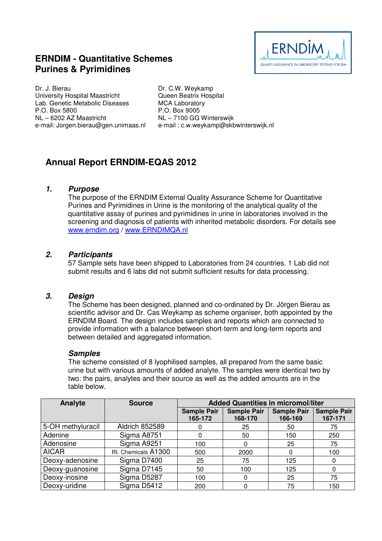## **ERNDIM - Quantitative Schemes Purines & Pyrimidines**



Dr. J. Bierau University Hospital Maastricht Lab. Genetic Metabolic Diseases P.O. Box 5800 NL – 6202 AZ Maastricht e-mail: Jorgen.bierau@gen.unimaas.nl

Dr. C.W. Weykamp Queen Beatrix Hospital MCA Laboratory P.O. Box 9005 NL – 7100 GG Winterswijk e-mail : c.w.weykamp@skbwinterswijk.nl

# **Annual Report ERNDIM-EQAS 2012**

## **1. Purpose**

The purpose of the ERNDIM External Quality Assurance Scheme for Quantitative Purines and Pyrimidines in Urine is the monitoring of the analytical quality of the quantitative assay of purines and pyrimidines in urine in laboratories involved in the screening and diagnosis of patients with inherited metabolic disorders. For details see www.erndim.org / www.ERNDIMQA.nl

## **2. Participants**

57 Sample sets have been shipped to Laboratories from 24 countries. 1 Lab did not submit results and 6 labs did not submit sufficient results for data processing.

## **3. Design**

The Scheme has been designed, planned and co-ordinated by Dr. Jörgen Bierau as scientific advisor and Dr. Cas Weykamp as scheme organiser, both appointed by the ERNDIM Board. The design includes samples and reports which are connected to provide information with a balance between short-term and long-term reports and between detailed and aggregated information.

## **Samples**

The scheme consisted of 8 lyophilised samples, all prepared from the same basic urine but with various amounts of added analyte. The samples were identical two by two: the pairs, analytes and their source as well as the added amounts are in the table below.

| Analyte           | <b>Source</b>         | <b>Added Quantities in micromol/liter</b> |                    |                    |                    |
|-------------------|-----------------------|-------------------------------------------|--------------------|--------------------|--------------------|
|                   |                       | <b>Sample Pair</b>                        | <b>Sample Pair</b> | <b>Sample Pair</b> | <b>Sample Pair</b> |
|                   |                       | 165-172                                   | 168-170            | 166-169            | 167-171            |
| 5-OH methyluracil | <b>Aldrich 852589</b> |                                           | 25                 | 50                 | 75                 |
| Adenine           | Sigma A8751           |                                           | 50                 | 150                | 250                |
| Adenosine         | Sigma A9251           | 100                                       | 0                  | 25                 | 75                 |
| <b>AICAR</b>      | RI. Chemicals A1300   | 500                                       | 2000               |                    | 100                |
| Deoxy-adenosine   | Sigma D7400           | 25                                        | 75                 | 125                | 0                  |
| Deoxy-guanosine   | Sigma D7145           | 50                                        | 100                | 125                | 0                  |
| Deoxy-inosine     | Sigma D5287           | 100                                       | 0                  | 25                 | 75                 |
| Deoxy-uridine     | Sigma D5412           | 200                                       | 0                  | 75                 | 150                |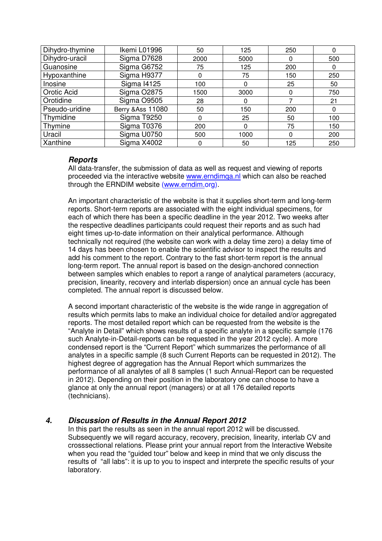| Dihydro-thymine | Ikemi L01996       | 50   | 125      | 250 | 0        |
|-----------------|--------------------|------|----------|-----|----------|
| Dihydro-uracil  | Sigma D7628        | 2000 | 5000     | 0   | 500      |
| Guanosine       | Sigma G6752        | 75   | 125      | 200 | 0        |
| Hypoxanthine    | Sigma H9377        | 0    | 75       | 150 | 250      |
| Inosine         | <b>Sigma I4125</b> | 100  | $\Omega$ | 25  | 50       |
| Orotic Acid     | <b>Sigma O2875</b> | 1500 | 3000     | 0   | 750      |
| Orotidine       | Sigma O9505        | 28   | 0        |     | 21       |
| Pseudo-uridine  | Berry & Ass 11080  | 50   | 150      | 200 | $\Omega$ |
| Thymidine       | Sigma T9250        | 0    | 25       | 50  | 100      |
| Thymine         | Sigma T0376        | 200  | $\Omega$ | 75  | 150      |
| Uracil          | Sigma U0750        | 500  | 1000     | 0   | 200      |
| Xanthine        | Sigma X4002        |      | 50       | 125 | 250      |

## **Reports**

All data-transfer, the submission of data as well as request and viewing of reports proceeded via the interactive website www.erndimqa.nl which can also be reached through the ERNDIM website (www.erndim.org).

An important characteristic of the website is that it supplies short-term and long-term reports. Short-term reports are associated with the eight individual specimens, for each of which there has been a specific deadline in the year 2012. Two weeks after the respective deadlines participants could request their reports and as such had eight times up-to-date information on their analytical performance. Although technically not required (the website can work with a delay time zero) a delay time of 14 days has been chosen to enable the scientific advisor to inspect the results and add his comment to the report. Contrary to the fast short-term report is the annual long-term report. The annual report is based on the design-anchored connection between samples which enables to report a range of analytical parameters (accuracy, precision, linearity, recovery and interlab dispersion) once an annual cycle has been completed. The annual report is discussed below.

A second important characteristic of the website is the wide range in aggregation of results which permits labs to make an individual choice for detailed and/or aggregated reports. The most detailed report which can be requested from the website is the "Analyte in Detail" which shows results of a specific analyte in a specific sample (176 such Analyte-in-Detail-reports can be requested in the year 2012 cycle). A more condensed report is the "Current Report" which summarizes the performance of all analytes in a specific sample (8 such Current Reports can be requested in 2012). The highest degree of aggregation has the Annual Report which summarizes the performance of all analytes of all 8 samples (1 such Annual-Report can be requested in 2012). Depending on their position in the laboratory one can choose to have a glance at only the annual report (managers) or at all 176 detailed reports (technicians).

## **4. Discussion of Results in the Annual Report 2012**

In this part the results as seen in the annual report 2012 will be discussed. Subsequently we will regard accuracy, recovery, precision, linearity, interlab CV and crosssectional relations. Please print your annual report from the Interactive Website when you read the "guided tour" below and keep in mind that we only discuss the results of "all labs": it is up to you to inspect and interprete the specific results of your laboratory.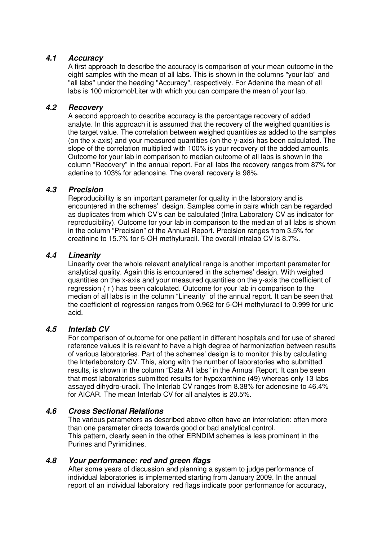## **4.1 Accuracy**

A first approach to describe the accuracy is comparison of your mean outcome in the eight samples with the mean of all labs. This is shown in the columns "your lab" and "all labs" under the heading "Accuracy", respectively. For Adenine the mean of all labs is 100 micromol/Liter with which you can compare the mean of your lab.

## **4.2 Recovery**

A second approach to describe accuracy is the percentage recovery of added analyte. In this approach it is assumed that the recovery of the weighed quantities is the target value. The correlation between weighed quantities as added to the samples (on the x-axis) and your measured quantities (on the y-axis) has been calculated. The slope of the correlation multiplied with 100% is your recovery of the added amounts. Outcome for your lab in comparison to median outcome of all labs is shown in the column "Recovery" in the annual report. For all labs the recovery ranges from 87% for adenine to 103% for adenosine. The overall recovery is 98%.

## **4.3 Precision**

Reproducibility is an important parameter for quality in the laboratory and is encountered in the schemes' design. Samples come in pairs which can be regarded as duplicates from which CV's can be calculated (Intra Laboratory CV as indicator for reproducibility). Outcome for your lab in comparison to the median of all labs is shown in the column "Precision" of the Annual Report. Precision ranges from 3.5% for creatinine to 15.7% for 5-OH methyluracil. The overall intralab CV is 8.7%.

## **4.4 Linearity**

Linearity over the whole relevant analytical range is another important parameter for analytical quality. Again this is encountered in the schemes' design. With weighed quantities on the x-axis and your measured quantities on the y-axis the coefficient of regression ( r ) has been calculated. Outcome for your lab in comparison to the median of all labs is in the column "Linearity" of the annual report. It can be seen that the coefficient of regression ranges from 0.962 for 5-OH methyluracil to 0.999 for uric acid.

## **4.5 Interlab CV**

For comparison of outcome for one patient in different hospitals and for use of shared reference values it is relevant to have a high degree of harmonization between results of various laboratories. Part of the schemes' design is to monitor this by calculating the Interlaboratory CV. This, along with the number of laboratories who submitted results, is shown in the column "Data All labs" in the Annual Report. It can be seen that most laboratories submitted results for hypoxanthine (49) whereas only 13 labs assayed dihydro-uracil. The Interlab CV ranges from 8.38% for adenosine to 46.4% for AICAR. The mean Interlab CV for all analytes is 20.5%.

## **4.6 Cross Sectional Relations**

The various parameters as described above often have an interrelation: often more than one parameter directs towards good or bad analytical control. This pattern, clearly seen in the other ERNDIM schemes is less prominent in the Purines and Pyrimidines.

## **4.8 Your performance: red and green flags**

After some years of discussion and planning a system to judge performance of individual laboratories is implemented starting from January 2009. In the annual report of an individual laboratory red flags indicate poor performance for accuracy,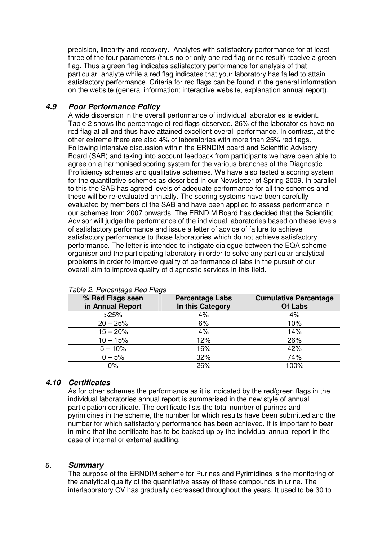precision, linearity and recovery. Analytes with satisfactory performance for at least three of the four parameters (thus no or only one red flag or no result) receive a green flag. Thus a green flag indicates satisfactory performance for analysis of that particular analyte while a red flag indicates that your laboratory has failed to attain satisfactory performance. Criteria for red flags can be found in the general information on the website (general information; interactive website, explanation annual report).

## **4.9 Poor Performance Policy**

A wide dispersion in the overall performance of individual laboratories is evident. Table 2 shows the percentage of red flags observed. 26% of the laboratories have no red flag at all and thus have attained excellent overall performance. In contrast, at the other extreme there are also 4% of laboratories with more than 25% red flags. Following intensive discussion within the ERNDIM board and Scientific Advisory Board (SAB) and taking into account feedback from participants we have been able to agree on a harmonised scoring system for the various branches of the Diagnostic Proficiency schemes and qualitative schemes. We have also tested a scoring system for the quantitative schemes as described in our Newsletter of Spring 2009. In parallel to this the SAB has agreed levels of adequate performance for all the schemes and these will be re-evaluated annually. The scoring systems have been carefully evaluated by members of the SAB and have been applied to assess performance in our schemes from 2007 onwards. The ERNDIM Board has decided that the Scientific Advisor will judge the performance of the individual laboratories based on these levels of satisfactory performance and issue a letter of advice of failure to achieve satisfactory performance to those laboratories which do not achieve satisfactory performance. The letter is intended to instigate dialogue between the EQA scheme organiser and the participating laboratory in order to solve any particular analytical problems in order to improve quality of performance of labs in the pursuit of our overall aim to improve quality of diagnostic services in this field.

| % Red Flags seen<br>in Annual Report | <b>Percentage Labs</b><br>In this Category | <b>Cumulative Percentage</b><br><b>Of Labs</b> |
|--------------------------------------|--------------------------------------------|------------------------------------------------|
| >25%                                 | 4%                                         | 4%                                             |
| $20 - 25%$                           | 6%                                         | 10%                                            |
| $15 - 20%$                           | 4%                                         | 14%                                            |
| $10 - 15%$                           | 12%                                        | 26%                                            |
| $5 - 10%$                            | 16%                                        | 42%                                            |
| $0 - 5%$                             | 32%                                        | 74%                                            |
| $0\%$                                | 26%                                        | 100%                                           |

Table 2. Percentage Red Flags

## **4.10 Certificates**

As for other schemes the performance as it is indicated by the red/green flags in the individual laboratories annual report is summarised in the new style of annual participation certificate. The certificate lists the total number of purines and pyrimidines in the scheme, the number for which results have been submitted and the number for which satisfactory performance has been achieved. It is important to bear in mind that the certificate has to be backed up by the individual annual report in the case of internal or external auditing.

#### **5. Summary**

The purpose of the ERNDIM scheme for Purines and Pyrimidines is the monitoring of the analytical quality of the quantitative assay of these compounds in urine**.** The interlaboratory CV has gradually decreased throughout the years. It used to be 30 to